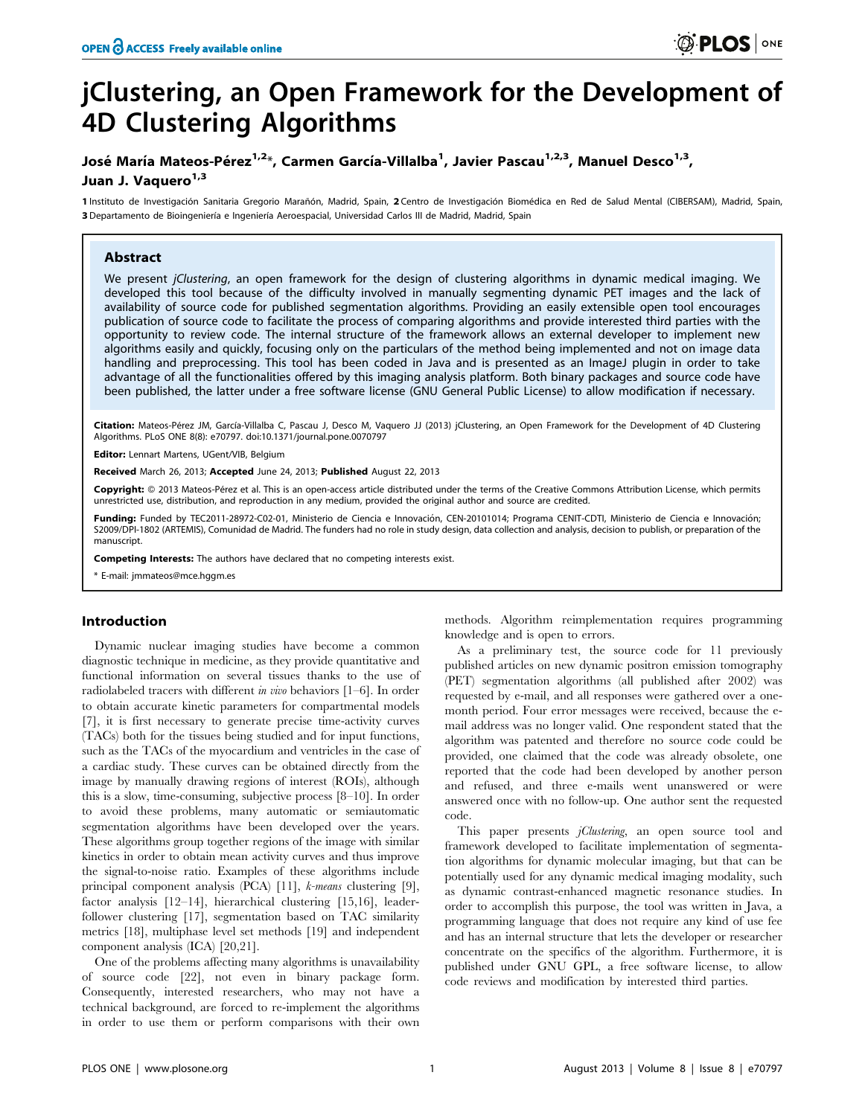# jClustering, an Open Framework for the Development of 4D Clustering Algorithms

## José María Mateos-Pérez<sup>1,2</sup>\*, Carmen García-Villalba<sup>1</sup>, Javier Pascau<sup>1,2,3</sup>, Manuel Desco<sup>1,3</sup>, Juan J. Vaquero<sup>1,3</sup>

1 Instituto de Investigación Sanitaria Gregorio Marañón, Madrid, Spain, 2 Centro de Investigación Biomédica en Red de Salud Mental (CIBERSAM), Madrid, Spain, 3 Departamento de Bioingeniería e Ingeniería Aeroespacial, Universidad Carlos III de Madrid, Madrid, Spain

## Abstract

We present jClustering, an open framework for the design of clustering algorithms in dynamic medical imaging. We developed this tool because of the difficulty involved in manually segmenting dynamic PET images and the lack of availability of source code for published segmentation algorithms. Providing an easily extensible open tool encourages publication of source code to facilitate the process of comparing algorithms and provide interested third parties with the opportunity to review code. The internal structure of the framework allows an external developer to implement new algorithms easily and quickly, focusing only on the particulars of the method being implemented and not on image data handling and preprocessing. This tool has been coded in Java and is presented as an ImageJ plugin in order to take advantage of all the functionalities offered by this imaging analysis platform. Both binary packages and source code have been published, the latter under a free software license (GNU General Public License) to allow modification if necessary.

Citation: Mateos-Pérez JM, García-Villalba C, Pascau J, Desco M, Vaquero JJ (2013) jClustering, an Open Framework for the Development of 4D Clustering Algorithms. PLoS ONE 8(8): e70797. doi:10.1371/journal.pone.0070797

Editor: Lennart Martens, UGent/VIB, Belgium

Received March 26, 2013; Accepted June 24, 2013; Published August 22, 2013

Copyright: © 2013 Mateos-Pérez et al. This is an open-access article distributed under the terms of the Creative Commons Attribution License, which permits unrestricted use, distribution, and reproduction in any medium, provided the original author and source are credited.

Funding: Funded by TEC2011-28972-C02-01, Ministerio de Ciencia e Innovación, CEN-20101014; Programa CENIT-CDTI, Ministerio de Ciencia e Innovación; S2009/DPI-1802 (ARTEMIS), Comunidad de Madrid. The funders had no role in study design, data collection and analysis, decision to publish, or preparation of the manuscript.

Competing Interests: The authors have declared that no competing interests exist.

\* E-mail: jmmateos@mce.hggm.es

## Introduction

Dynamic nuclear imaging studies have become a common diagnostic technique in medicine, as they provide quantitative and functional information on several tissues thanks to the use of radiolabeled tracers with different in vivo behaviors [1–6]. In order to obtain accurate kinetic parameters for compartmental models [7], it is first necessary to generate precise time-activity curves (TACs) both for the tissues being studied and for input functions, such as the TACs of the myocardium and ventricles in the case of a cardiac study. These curves can be obtained directly from the image by manually drawing regions of interest (ROIs), although this is a slow, time-consuming, subjective process [8–10]. In order to avoid these problems, many automatic or semiautomatic segmentation algorithms have been developed over the years. These algorithms group together regions of the image with similar kinetics in order to obtain mean activity curves and thus improve the signal-to-noise ratio. Examples of these algorithms include principal component analysis (PCA) [11], *k-means* clustering [9], factor analysis [12–14], hierarchical clustering [15,16], leaderfollower clustering [17], segmentation based on TAC similarity metrics [18], multiphase level set methods [19] and independent component analysis (ICA) [20,21].

One of the problems affecting many algorithms is unavailability of source code [22], not even in binary package form. Consequently, interested researchers, who may not have a technical background, are forced to re-implement the algorithms in order to use them or perform comparisons with their own methods. Algorithm reimplementation requires programming knowledge and is open to errors.

As a preliminary test, the source code for 11 previously published articles on new dynamic positron emission tomography (PET) segmentation algorithms (all published after 2002) was requested by e-mail, and all responses were gathered over a onemonth period. Four error messages were received, because the email address was no longer valid. One respondent stated that the algorithm was patented and therefore no source code could be provided, one claimed that the code was already obsolete, one reported that the code had been developed by another person and refused, and three e-mails went unanswered or were answered once with no follow-up. One author sent the requested code.

This paper presents *jClustering*, an open source tool and framework developed to facilitate implementation of segmentation algorithms for dynamic molecular imaging, but that can be potentially used for any dynamic medical imaging modality, such as dynamic contrast-enhanced magnetic resonance studies. In order to accomplish this purpose, the tool was written in Java, a programming language that does not require any kind of use fee and has an internal structure that lets the developer or researcher concentrate on the specifics of the algorithm. Furthermore, it is published under GNU GPL, a free software license, to allow code reviews and modification by interested third parties.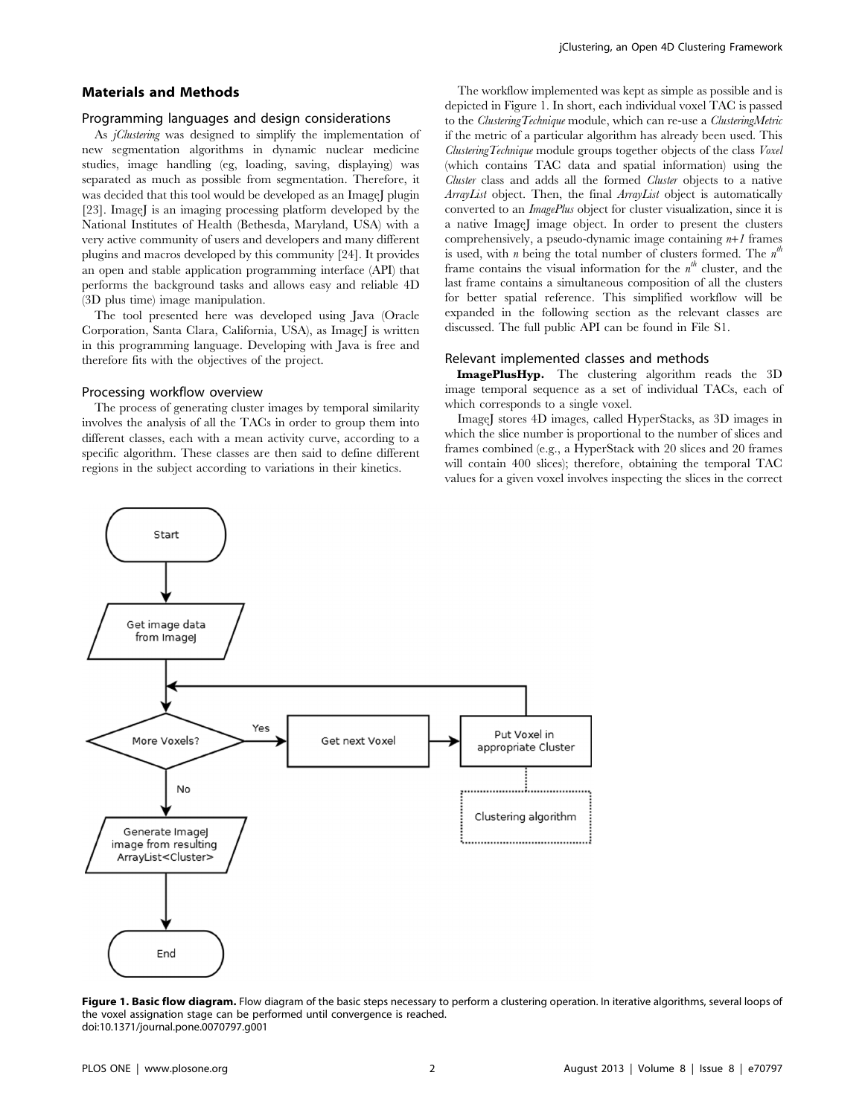## Materials and Methods

#### Programming languages and design considerations

As *jClustering* was designed to simplify the implementation of new segmentation algorithms in dynamic nuclear medicine studies, image handling (eg, loading, saving, displaying) was separated as much as possible from segmentation. Therefore, it was decided that this tool would be developed as an ImageJ plugin [23]. ImageJ is an imaging processing platform developed by the National Institutes of Health (Bethesda, Maryland, USA) with a very active community of users and developers and many different plugins and macros developed by this community [24]. It provides an open and stable application programming interface (API) that performs the background tasks and allows easy and reliable 4D (3D plus time) image manipulation.

The tool presented here was developed using Java (Oracle Corporation, Santa Clara, California, USA), as ImageJ is written in this programming language. Developing with Java is free and therefore fits with the objectives of the project.

## Processing workflow overview

The process of generating cluster images by temporal similarity involves the analysis of all the TACs in order to group them into different classes, each with a mean activity curve, according to a specific algorithm. These classes are then said to define different regions in the subject according to variations in their kinetics.

The workflow implemented was kept as simple as possible and is depicted in Figure 1. In short, each individual voxel TAC is passed to the ClusteringTechnique module, which can re-use a ClusteringMetric if the metric of a particular algorithm has already been used. This ClusteringTechnique module groups together objects of the class Voxel (which contains TAC data and spatial information) using the Cluster class and adds all the formed Cluster objects to a native ArrayList object. Then, the final ArrayList object is automatically converted to an ImagePlus object for cluster visualization, since it is a native ImageJ image object. In order to present the clusters comprehensively, a pseudo-dynamic image containing  $n+1$  frames is used, with *n* being the total number of clusters formed. The  $n^{th}$ frame contains the visual information for the  $n^{th}$  cluster, and the last frame contains a simultaneous composition of all the clusters for better spatial reference. This simplified workflow will be expanded in the following section as the relevant classes are discussed. The full public API can be found in File S1.

## Relevant implemented classes and methods

ImagePlusHyp. The clustering algorithm reads the 3D image temporal sequence as a set of individual TACs, each of which corresponds to a single voxel.

ImageJ stores 4D images, called HyperStacks, as 3D images in which the slice number is proportional to the number of slices and frames combined (e.g., a HyperStack with 20 slices and 20 frames will contain 400 slices); therefore, obtaining the temporal TAC values for a given voxel involves inspecting the slices in the correct



Figure 1. Basic flow diagram. Flow diagram of the basic steps necessary to perform a clustering operation. In iterative algorithms, several loops of the voxel assignation stage can be performed until convergence is reached. doi:10.1371/journal.pone.0070797.g001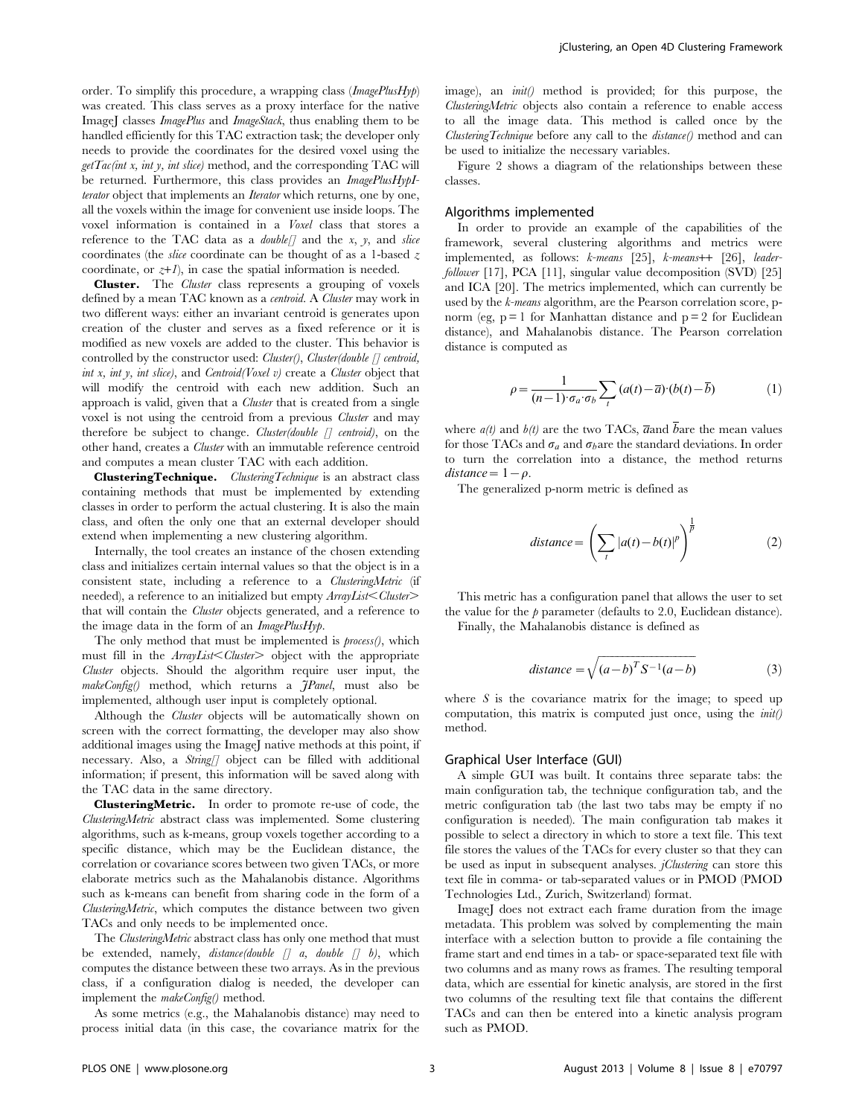order. To simplify this procedure, a wrapping class  $(ImagePlus Hyp)$ was created. This class serves as a proxy interface for the native ImageJ classes *ImagePlus* and *ImageStack*, thus enabling them to be handled efficiently for this TAC extraction task; the developer only needs to provide the coordinates for the desired voxel using the  $getTac(int x, int y, int slice)$  method, and the corresponding TAC will be returned. Furthermore, this class provides an *ImagePlusHypI*terator object that implements an *Iterator* which returns, one by one, all the voxels within the image for convenient use inside loops. The voxel information is contained in a Voxel class that stores a reference to the TAC data as a *double* $\Box$  and the x, y, and *slice* coordinates (the *slice* coordinate can be thought of as a 1-based  $z$ coordinate, or  $z+1$ ), in case the spatial information is needed.

Cluster. The Cluster class represents a grouping of voxels defined by a mean TAC known as a centroid. A Cluster may work in two different ways: either an invariant centroid is generates upon creation of the cluster and serves as a fixed reference or it is modified as new voxels are added to the cluster. This behavior is controlled by the constructor used: Cluster(), Cluster(double  $\iint$  centroid, int x, int y, int slice), and Centroid(Voxel v) create a Cluster object that will modify the centroid with each new addition. Such an approach is valid, given that a Cluster that is created from a single voxel is not using the centroid from a previous Cluster and may therefore be subject to change. Cluster(double  $\iint$  centroid), on the other hand, creates a Cluster with an immutable reference centroid and computes a mean cluster TAC with each addition.

ClusteringTechnique. ClusteringTechnique is an abstract class containing methods that must be implemented by extending classes in order to perform the actual clustering. It is also the main class, and often the only one that an external developer should extend when implementing a new clustering algorithm.

Internally, the tool creates an instance of the chosen extending class and initializes certain internal values so that the object is in a consistent state, including a reference to a ClusteringMetric (if needed), a reference to an initialized but empty  $ArrayList$ that will contain the Cluster objects generated, and a reference to the image data in the form of an  $ImagePlusHyp$ .

The only method that must be implemented is *process()*, which must fill in the  $ArrayList \leq Cluster$  object with the appropriate Cluster objects. Should the algorithm require user input, the makeConfig() method, which returns a JPanel, must also be implemented, although user input is completely optional.

Although the Cluster objects will be automatically shown on screen with the correct formatting, the developer may also show additional images using the ImageJ native methods at this point, if necessary. Also, a String[] object can be filled with additional information; if present, this information will be saved along with the TAC data in the same directory.

ClusteringMetric. In order to promote re-use of code, the ClusteringMetric abstract class was implemented. Some clustering algorithms, such as k-means, group voxels together according to a specific distance, which may be the Euclidean distance, the correlation or covariance scores between two given TACs, or more elaborate metrics such as the Mahalanobis distance. Algorithms such as k-means can benefit from sharing code in the form of a ClusteringMetric, which computes the distance between two given TACs and only needs to be implemented once.

The ClusteringMetric abstract class has only one method that must be extended, namely,  $distance(double \t d, double \t d, b)$ , which computes the distance between these two arrays. As in the previous class, if a configuration dialog is needed, the developer can implement the makeConfig() method.

As some metrics (e.g., the Mahalanobis distance) may need to process initial data (in this case, the covariance matrix for the

image), an  $\dot{m}$  method is provided; for this purpose, the ClusteringMetric objects also contain a reference to enable access to all the image data. This method is called once by the ClusteringTechnique before any call to the distance() method and can be used to initialize the necessary variables.

Figure 2 shows a diagram of the relationships between these classes.

#### Algorithms implemented

In order to provide an example of the capabilities of the framework, several clustering algorithms and metrics were implemented, as follows: k-means [25], k-means++ [26], leaderfollower [17], PCA [11], singular value decomposition (SVD) [25] and ICA [20]. The metrics implemented, which can currently be used by the k-means algorithm, are the Pearson correlation score, pnorm (eg,  $p = 1$  for Manhattan distance and  $p = 2$  for Euclidean distance), and Mahalanobis distance. The Pearson correlation distance is computed as

$$
\rho = \frac{1}{(n-1)\cdot \sigma_a \cdot \sigma_b} \sum_{t} (a(t) - \overline{a}) \cdot (b(t) - \overline{b}) \tag{1}
$$

where  $a(t)$  and  $b(t)$  are the two TACs,  $\overline{a}$  and  $\overline{b}$  are the mean values for those TACs and  $\sigma_a$  and  $\sigma_b$  are the standard deviations. In order to turn the correlation into a distance, the method returns  $distance = 1 - \rho$ .

The generalized p-norm metric is defined as

$$
distance = \left(\sum_{t} |a(t) - b(t)|^p\right)^{\frac{1}{p}}
$$
 (2)

This metric has a configuration panel that allows the user to set the value for the  $p$  parameter (defaults to 2.0, Euclidean distance). Finally, the Mahalanobis distance is defined as

$$
distance = \sqrt{(a-b)^{T} S^{-1} (a-b)}
$$
 (3)

where  $S$  is the covariance matrix for the image; to speed up computation, this matrix is computed just once, using the  $\dot{m}t$ . method.

#### Graphical User Interface (GUI)

A simple GUI was built. It contains three separate tabs: the main configuration tab, the technique configuration tab, and the metric configuration tab (the last two tabs may be empty if no configuration is needed). The main configuration tab makes it possible to select a directory in which to store a text file. This text file stores the values of the TACs for every cluster so that they can be used as input in subsequent analyses. *jClustering* can store this text file in comma- or tab-separated values or in PMOD (PMOD Technologies Ltd., Zurich, Switzerland) format.

ImageJ does not extract each frame duration from the image metadata. This problem was solved by complementing the main interface with a selection button to provide a file containing the frame start and end times in a tab- or space-separated text file with two columns and as many rows as frames. The resulting temporal data, which are essential for kinetic analysis, are stored in the first two columns of the resulting text file that contains the different TACs and can then be entered into a kinetic analysis program such as PMOD.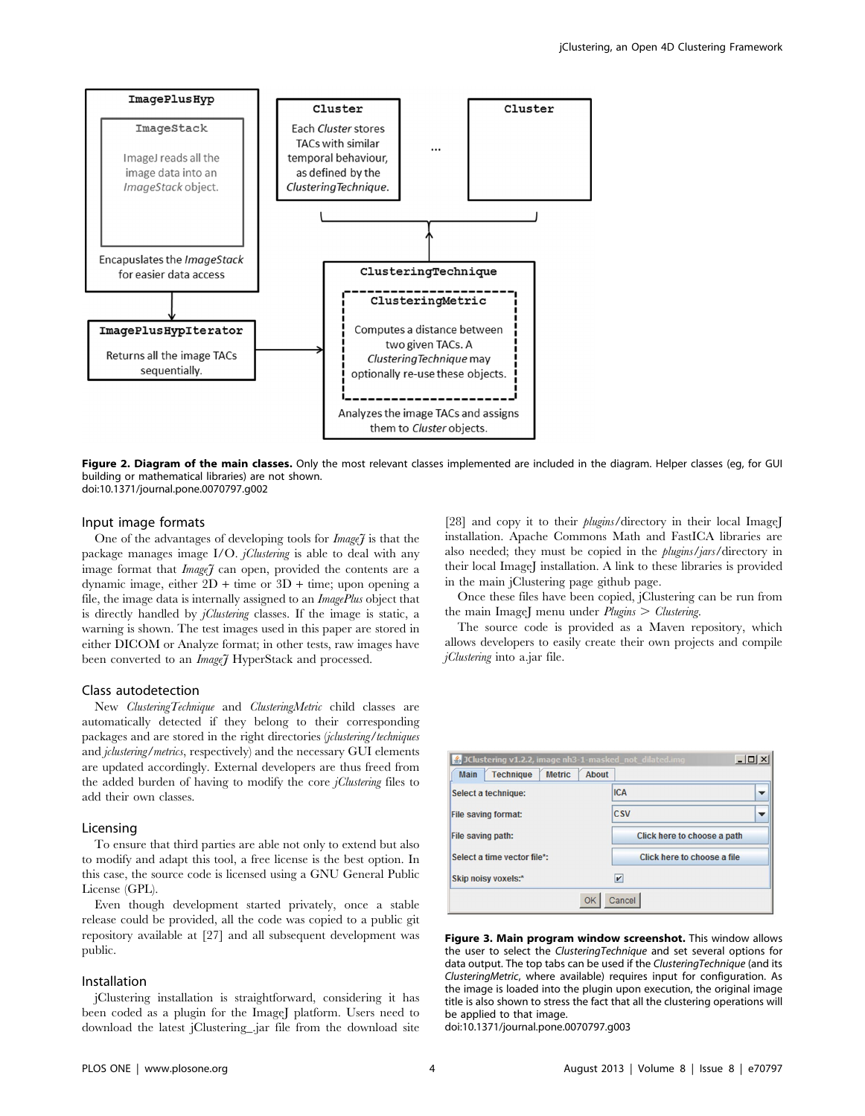

Figure 2. Diagram of the main classes. Only the most relevant classes implemented are included in the diagram. Helper classes (eg, for GUI building or mathematical libraries) are not shown. doi:10.1371/journal.pone.0070797.g002

#### Input image formats

One of the advantages of developing tools for  $Image\tilde{\jmath}$  is that the package manages image I/O. jClustering is able to deal with any image format that  $Image\tilde{\tau}$  can open, provided the contents are a dynamic image, either  $2D +$  time or  $3D +$  time; upon opening a file, the image data is internally assigned to an ImagePlus object that is directly handled by jClustering classes. If the image is static, a warning is shown. The test images used in this paper are stored in either DICOM or Analyze format; in other tests, raw images have been converted to an *Image*<sup>7</sup> HyperStack and processed.

#### Class autodetection

New ClusteringTechnique and ClusteringMetric child classes are automatically detected if they belong to their corresponding packages and are stored in the right directories (jclustering/techniques and jclustering/metrics, respectively) and the necessary GUI elements are updated accordingly. External developers are thus freed from the added burden of having to modify the core jClustering files to add their own classes.

## Licensing

To ensure that third parties are able not only to extend but also to modify and adapt this tool, a free license is the best option. In this case, the source code is licensed using a GNU General Public License (GPL).

Even though development started privately, once a stable release could be provided, all the code was copied to a public git repository available at [27] and all subsequent development was public.

## Installation

jClustering installation is straightforward, considering it has been coded as a plugin for the ImageJ platform. Users need to download the latest jClustering\_.jar file from the download site

[28] and copy it to their *plugins*/directory in their local ImageJ installation. Apache Commons Math and FastICA libraries are also needed; they must be copied in the plugins/jars/directory in their local ImageJ installation. A link to these libraries is provided in the main jClustering page github page.

Once these files have been copied, jClustering can be run from the main ImageJ menu under  $Plugins > Clustering$ .

The source code is provided as a Maven repository, which allows developers to easily create their own projects and compile jClustering into a.jar file.

| <b>A</b> JClustering v1.2.2, image nh3-1-masked_not_dilated.img  |                             |
|------------------------------------------------------------------|-----------------------------|
| <b>Metric</b><br><b>Technique</b><br><b>About</b><br><b>Main</b> |                             |
| Select a technique:                                              | <b>ICA</b><br>$\mathbf{v}$  |
| <b>File saving format:</b>                                       | <b>CSV</b><br>▼             |
| File saving path:                                                | Click here to choose a path |
| Select a time vector file*:                                      | Click here to choose a file |
| Skip noisy voxels:*                                              | V                           |
| Cancel                                                           |                             |

Figure 3. Main program window screenshot. This window allows the user to select the ClusteringTechnique and set several options for data output. The top tabs can be used if the ClusteringTechnique (and its ClusteringMetric, where available) requires input for configuration. As the image is loaded into the plugin upon execution, the original image title is also shown to stress the fact that all the clustering operations will be applied to that image.

doi:10.1371/journal.pone.0070797.g003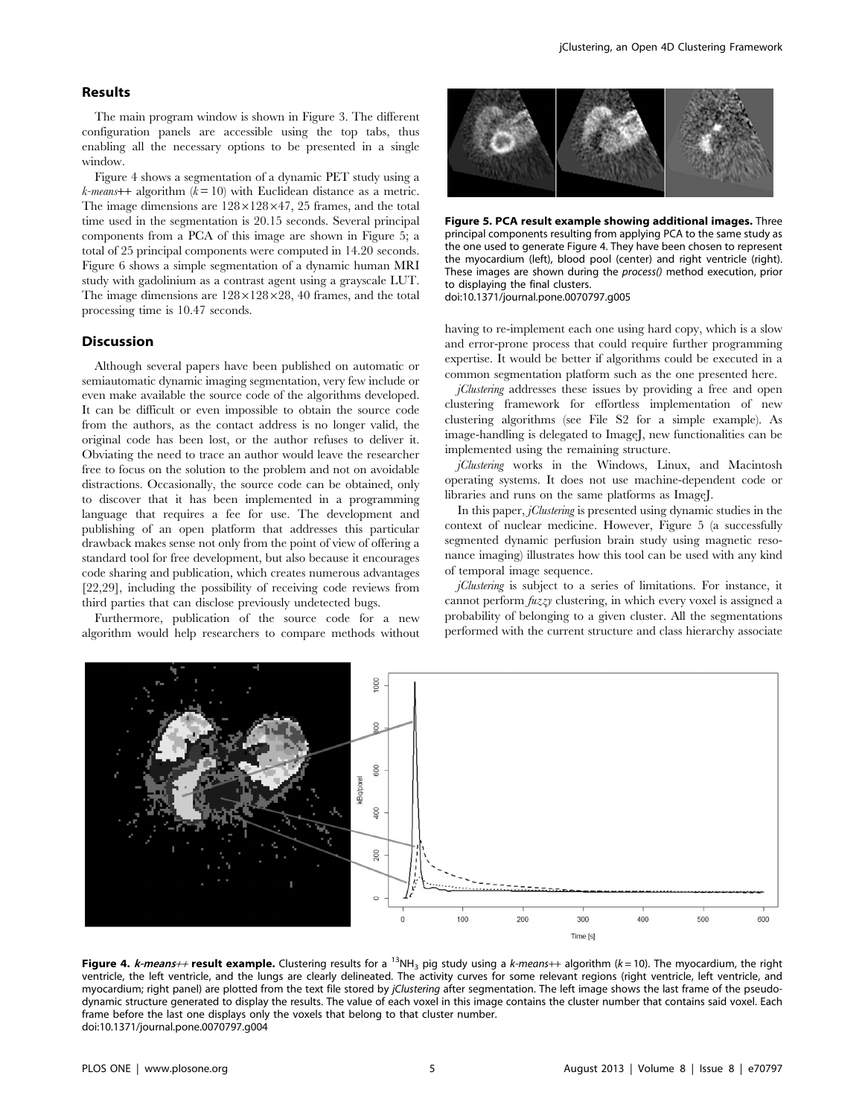## Results

The main program window is shown in Figure 3. The different configuration panels are accessible using the top tabs, thus enabling all the necessary options to be presented in a single window.

Figure 4 shows a segmentation of a dynamic PET study using a  $k$ -means++ algorithm  $(k = 10)$  with Euclidean distance as a metric. The image dimensions are  $128\times128\times47$ , 25 frames, and the total time used in the segmentation is 20.15 seconds. Several principal components from a PCA of this image are shown in Figure 5; a total of 25 principal components were computed in 14.20 seconds. Figure 6 shows a simple segmentation of a dynamic human MRI study with gadolinium as a contrast agent using a grayscale LUT. The image dimensions are  $128\times128\times28$ , 40 frames, and the total processing time is 10.47 seconds.

## Discussion

Although several papers have been published on automatic or semiautomatic dynamic imaging segmentation, very few include or even make available the source code of the algorithms developed. It can be difficult or even impossible to obtain the source code from the authors, as the contact address is no longer valid, the original code has been lost, or the author refuses to deliver it. Obviating the need to trace an author would leave the researcher free to focus on the solution to the problem and not on avoidable distractions. Occasionally, the source code can be obtained, only to discover that it has been implemented in a programming language that requires a fee for use. The development and publishing of an open platform that addresses this particular drawback makes sense not only from the point of view of offering a standard tool for free development, but also because it encourages code sharing and publication, which creates numerous advantages [22,29], including the possibility of receiving code reviews from third parties that can disclose previously undetected bugs.

Furthermore, publication of the source code for a new algorithm would help researchers to compare methods without



Figure 5. PCA result example showing additional images. Three principal components resulting from applying PCA to the same study as the one used to generate Figure 4. They have been chosen to represent the myocardium (left), blood pool (center) and right ventricle (right). These images are shown during the process() method execution, prior to displaying the final clusters. doi:10.1371/journal.pone.0070797.g005

having to re-implement each one using hard copy, which is a slow and error-prone process that could require further programming expertise. It would be better if algorithms could be executed in a common segmentation platform such as the one presented here.

jClustering addresses these issues by providing a free and open clustering framework for effortless implementation of new clustering algorithms (see File S2 for a simple example). As image-handling is delegated to ImageJ, new functionalities can be implemented using the remaining structure.

jClustering works in the Windows, Linux, and Macintosh operating systems. It does not use machine-dependent code or libraries and runs on the same platforms as ImageJ.

In this paper, *jClustering* is presented using dynamic studies in the context of nuclear medicine. However, Figure 5 (a successfully segmented dynamic perfusion brain study using magnetic resonance imaging) illustrates how this tool can be used with any kind of temporal image sequence.

jClustering is subject to a series of limitations. For instance, it cannot perform fuzzy clustering, in which every voxel is assigned a probability of belonging to a given cluster. All the segmentations performed with the current structure and class hierarchy associate



**Figure 4. k-means** ++ **result example.** Clustering results for a <sup>13</sup>NH<sub>3</sub> pig study using a k-means ++ algorithm (k = 10). The myocardium, the right ventricle, the left ventricle, and the lungs are clearly delineated. The activity curves for some relevant regions (right ventricle, left ventricle, and myocardium; right panel) are plotted from the text file stored by *jClustering* after segmentation. The left image shows the last frame of the pseudodynamic structure generated to display the results. The value of each voxel in this image contains the cluster number that contains said voxel. Each frame before the last one displays only the voxels that belong to that cluster number. doi:10.1371/journal.pone.0070797.g004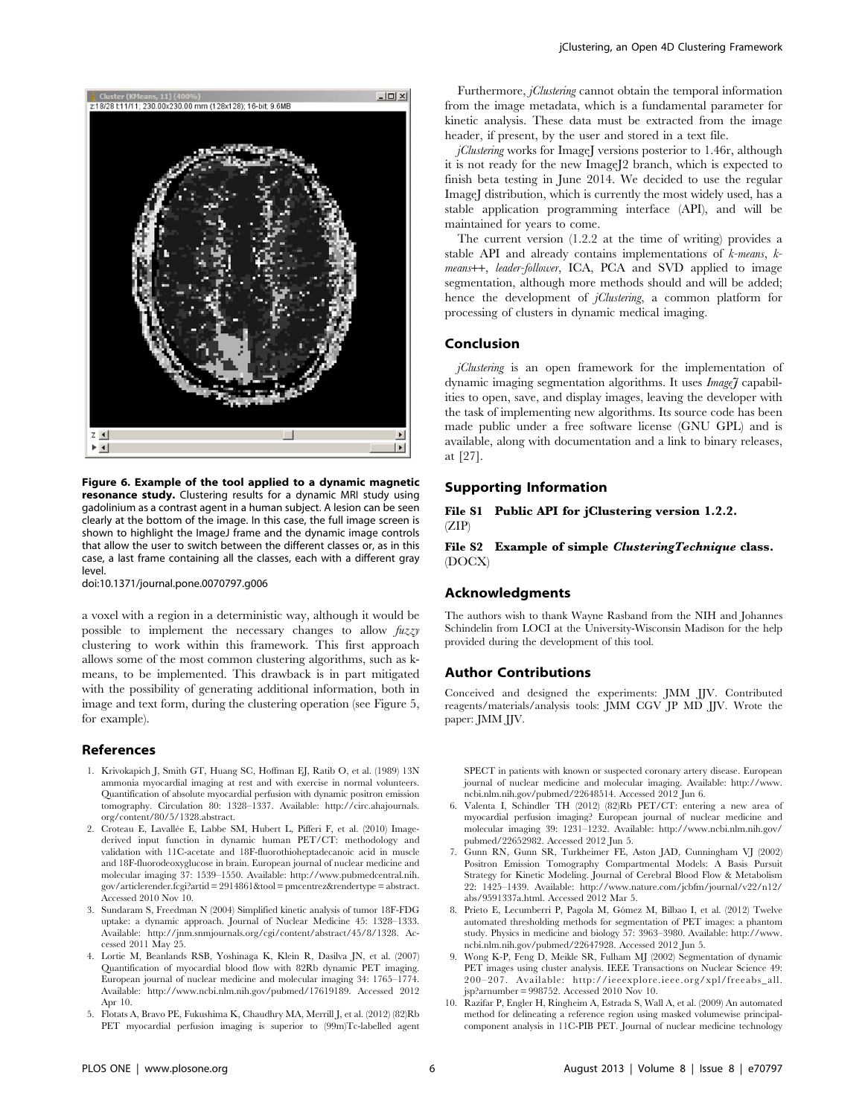

Figure 6. Example of the tool applied to a dynamic magnetic resonance study. Clustering results for a dynamic MRI study using gadolinium as a contrast agent in a human subject. A lesion can be seen clearly at the bottom of the image. In this case, the full image screen is shown to highlight the ImageJ frame and the dynamic image controls that allow the user to switch between the different classes or, as in this case, a last frame containing all the classes, each with a different gray level.

doi:10.1371/journal.pone.0070797.g006

a voxel with a region in a deterministic way, although it would be possible to implement the necessary changes to allow fuzzy clustering to work within this framework. This first approach allows some of the most common clustering algorithms, such as kmeans, to be implemented. This drawback is in part mitigated with the possibility of generating additional information, both in image and text form, during the clustering operation (see Figure 5, for example).

#### References

- 1. Krivokapich J, Smith GT, Huang SC, Hoffman EJ, Ratib O, et al. (1989) 13N ammonia myocardial imaging at rest and with exercise in normal volunteers. Quantification of absolute myocardial perfusion with dynamic positron emission tomography. Circulation 80: 1328–1337. Available: http://circ.ahajournals. org/content/80/5/1328.abstract.
- 2. Croteau E, Lavallée E, Labbe SM, Hubert L, Pifferi F, et al. (2010) Image derived input function in dynamic human PET/CT: methodology and validation with 11C-acetate and 18F-fluorothioheptadecanoic acid in muscle and 18F-fluorodeoxyglucose in brain. European journal of nuclear medicine and molecular imaging 37: 1539–1550. Available: http://www.pubmedcentral.nih. gov/articlerender.fcgi?artid = 2914861&tool = pmcentrez&rendertype = abstract. Accessed 2010 Nov 10.
- 3. Sundaram S, Freedman N (2004) Simplified kinetic analysis of tumor 18F-FDG uptake: a dynamic approach. Journal of Nuclear Medicine 45: 1328–1333. Available: http://jnm.snmjournals.org/cgi/content/abstract/45/8/1328. Accessed 2011 May 25.
- 4. Lortie M, Beanlands RSB, Yoshinaga K, Klein R, Dasilva JN, et al. (2007) Quantification of myocardial blood flow with 82Rb dynamic PET imaging. European journal of nuclear medicine and molecular imaging 34: 1765–1774. Available: http://www.ncbi.nlm.nih.gov/pubmed/17619189. Accessed 2012 Apr 10.
- 5. Flotats A, Bravo PE, Fukushima K, Chaudhry MA, Merrill J, et al. (2012) (82)Rb PET myocardial perfusion imaging is superior to (99m)Tc-labelled agent

Furthermore, *jClustering* cannot obtain the temporal information from the image metadata, which is a fundamental parameter for kinetic analysis. These data must be extracted from the image header, if present, by the user and stored in a text file.

jClustering works for ImageJ versions posterior to 1.46r, although it is not ready for the new ImageJ2 branch, which is expected to finish beta testing in June 2014. We decided to use the regular ImageJ distribution, which is currently the most widely used, has a stable application programming interface (API), and will be maintained for years to come.

The current version (1.2.2 at the time of writing) provides a stable API and already contains implementations of k-means, kmeans++, leader-follower, ICA, PCA and SVD applied to image segmentation, although more methods should and will be added; hence the development of jClustering, a common platform for processing of clusters in dynamic medical imaging.

## Conclusion

jClustering is an open framework for the implementation of dynamic imaging segmentation algorithms. It uses  $Image\bar{f}$  capabilities to open, save, and display images, leaving the developer with the task of implementing new algorithms. Its source code has been made public under a free software license (GNU GPL) and is available, along with documentation and a link to binary releases, at [27].

## Supporting Information

File S1 Public API for jClustering version 1.2.2.  $(ZIP)$ 

File S2 Example of simple ClusteringTechnique class. (DOCX)

## Acknowledgments

The authors wish to thank Wayne Rasband from the NIH and Johannes Schindelin from LOCI at the University-Wisconsin Madison for the help provided during the development of this tool.

## Author Contributions

Conceived and designed the experiments: JMM JJV. Contributed reagents/materials/analysis tools: JMM CGV JP MD JJV. Wrote the paper: JMM JJV.

SPECT in patients with known or suspected coronary artery disease. European journal of nuclear medicine and molecular imaging. Available: http://www. ncbi.nlm.nih.gov/pubmed/22648514. Accessed 2012 Jun 6.

- 6. Valenta I, Schindler TH (2012) (82)Rb PET/CT: entering a new area of myocardial perfusion imaging? European journal of nuclear medicine and molecular imaging 39: 1231–1232. Available: http://www.ncbi.nlm.nih.gov/ pubmed/22652982. Accessed 2012 Jun 5.
- 7. Gunn RN, Gunn SR, Turkheimer FE, Aston JAD, Cunningham VJ (2002) Positron Emission Tomography Compartmental Models: A Basis Pursuit Strategy for Kinetic Modeling. Journal of Cerebral Blood Flow & Metabolism 22: 1425–1439. Available: http://www.nature.com/jcbfm/journal/v22/n12/ abs/9591337a.html. Accessed 2012 Mar 5.
- 8. Prieto E, Lecumberri P, Pagola M, Gómez M, Bilbao I, et al. (2012) Twelve automated thresholding methods for segmentation of PET images: a phantom study. Physics in medicine and biology 57: 3963–3980. Available: http://www. ncbi.nlm.nih.gov/pubmed/22647928. Accessed 2012 Jun 5.
- 9. Wong K-P, Feng D, Meikle SR, Fulham MJ (2002) Segmentation of dynamic PET images using cluster analysis. IEEE Transactions on Nuclear Science 49: 200–207. Available: http://ieeexplore.ieee.org/xpl/freeabs\_all. jsp?arnumber = 998752. Accessed 2010 Nov 10.
- 10. Razifar P, Engler H, Ringheim A, Estrada S, Wall A, et al. (2009) An automated method for delineating a reference region using masked volumewise principalcomponent analysis in 11C-PIB PET. Journal of nuclear medicine technology